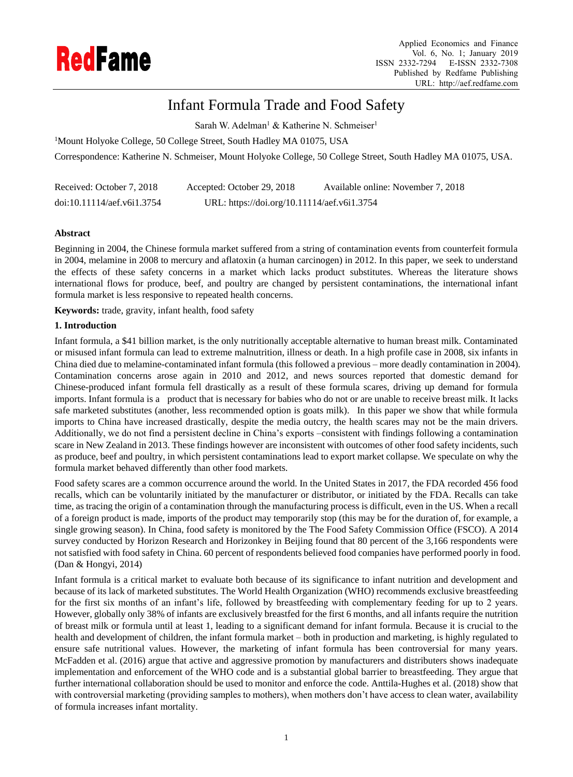

# Infant Formula Trade and Food Safety

Sarah W. Adelman<sup>1</sup> & Katherine N. Schmeiser<sup>1</sup>

<sup>1</sup>Mount Holyoke College, 50 College Street, South Hadley MA 01075, USA

Correspondence: Katherine N. Schmeiser, Mount Holyoke College, 50 College Street, South Hadley MA 01075, USA.

| Received: October 7, 2018  | Accepted: October 29, 2018                  | Available online: November 7, 2018 |
|----------------------------|---------------------------------------------|------------------------------------|
| doi:10.11114/aef.v6i1.3754 | URL: https://doi.org/10.11114/aef.v6i1.3754 |                                    |

# **Abstract**

Beginning in 2004, the Chinese formula market suffered from a string of contamination events from counterfeit formula in 2004, melamine in 2008 to mercury and aflatoxin (a human carcinogen) in 2012. In this paper, we seek to understand the effects of these safety concerns in a market which lacks product substitutes. Whereas the literature shows international flows for produce, beef, and poultry are changed by persistent contaminations, the international infant formula market is less responsive to repeated health concerns.

**Keywords:** trade, gravity, infant health, food safety

# **1. Introduction**

Infant formula, a \$41 billion market, is the only nutritionally acceptable alternative to human breast milk. Contaminated or misused infant formula can lead to extreme malnutrition, illness or death. In a high profile case in 2008, six infants in China died due to melamine-contaminated infant formula (this followed a previous – more deadly contamination in 2004). Contamination concerns arose again in 2010 and 2012, and news sources reported that domestic demand for Chinese-produced infant formula fell drastically as a result of these formula scares, driving up demand for formula imports. Infant formula is a product that is necessary for babies who do not or are unable to receive breast milk. It lacks safe marketed substitutes (another, less recommended option is goats milk). In this paper we show that while formula imports to China have increased drastically, despite the media outcry, the health scares may not be the main drivers. Additionally, we do not find a persistent decline in China's exports –consistent with findings following a contamination scare in New Zealand in 2013. These findings however are inconsistent with outcomes of other food safety incidents, such as produce, beef and poultry, in which persistent contaminations lead to export market collapse. We speculate on why the formula market behaved differently than other food markets.

Food safety scares are a common occurrence around the world. In the United States in 2017, the FDA recorded 456 food recalls, which can be voluntarily initiated by the manufacturer or distributor, or initiated by the FDA. Recalls can take time, as tracing the origin of a contamination through the manufacturing process is difficult, even in the US. When a recall of a foreign product is made, imports of the product may temporarily stop (this may be for the duration of, for example, a single growing season). In China, food safety is monitored by the The Food Safety Commission Office (FSCO). A 2014 survey conducted by Horizon Research and Horizonkey in Beijing found that 80 percent of the 3,166 respondents were not satisfied with food safety in China. 60 percent of respondents believed food companies have performed poorly in food. (Dan & Hongyi, 2014)

Infant formula is a critical market to evaluate both because of its significance to infant nutrition and development and because of its lack of marketed substitutes. The World Health Organization (WHO) recommends exclusive breastfeeding for the first six months of an infant's life, followed by breastfeeding with complementary feeding for up to 2 years. However, globally only 38% of infants are exclusively breastfed for the first 6 months, and all infants require the nutrition of breast milk or formula until at least 1, leading to a significant demand for infant formula. Because it is crucial to the health and development of children, the infant formula market – both in production and marketing, is highly regulated to ensure safe nutritional values. However, the marketing of infant formula has been controversial for many years. McFadden et al. (2016) argue that active and aggressive promotion by manufacturers and distributers shows inadequate implementation and enforcement of the WHO code and is a substantial global barrier to breastfeeding. They argue that further international collaboration should be used to monitor and enforce the code. Anttila-Hughes et al. (2018) show that with controversial marketing (providing samples to mothers), when mothers don't have access to clean water, availability of formula increases infant mortality.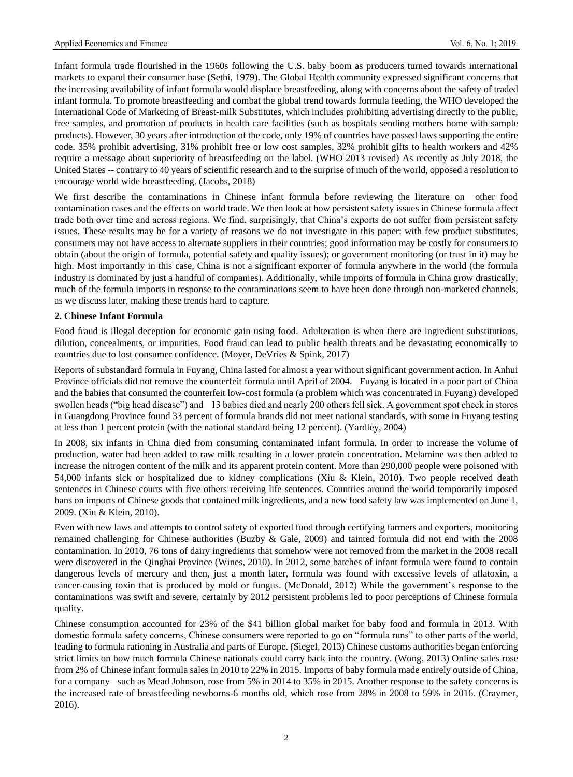Infant formula trade flourished in the 1960s following the U.S. baby boom as producers turned towards international markets to expand their consumer base (Sethi, 1979). The Global Health community expressed significant concerns that the increasing availability of infant formula would displace breastfeeding, along with concerns about the safety of traded infant formula. To promote breastfeeding and combat the global trend towards formula feeding, the WHO developed the International Code of Marketing of Breast-milk Substitutes, which includes prohibiting advertising directly to the public, free samples, and promotion of products in health care facilities (such as hospitals sending mothers home with sample products). However, 30 years after introduction of the code, only 19% of countries have passed laws supporting the entire code. 35% prohibit advertising, 31% prohibit free or low cost samples, 32% prohibit gifts to health workers and 42% require a message about superiority of breastfeeding on the label. (WHO 2013 revised) As recently as July 2018, the United States -- contrary to 40 years of scientific research and to the surprise of much of the world, opposed a resolution to encourage world wide breastfeeding. (Jacobs, 2018)

We first describe the contaminations in Chinese infant formula before reviewing the literature on other food contamination cases and the effects on world trade. We then look at how persistent safety issues in Chinese formula affect trade both over time and across regions. We find, surprisingly, that China's exports do not suffer from persistent safety issues. These results may be for a variety of reasons we do not investigate in this paper: with few product substitutes, consumers may not have access to alternate suppliers in their countries; good information may be costly for consumers to obtain (about the origin of formula, potential safety and quality issues); or government monitoring (or trust in it) may be high. Most importantly in this case, China is not a significant exporter of formula anywhere in the world (the formula industry is dominated by just a handful of companies). Additionally, while imports of formula in China grow drastically, much of the formula imports in response to the contaminations seem to have been done through non-marketed channels, as we discuss later, making these trends hard to capture.

# **2. Chinese Infant Formula**

Food fraud is illegal deception for economic gain using food. Adulteration is when there are ingredient substitutions, dilution, concealments, or impurities. Food fraud can lead to public health threats and be devastating economically to countries due to lost consumer confidence. (Moyer, DeVries & Spink, 2017)

Reports of substandard formula in Fuyang, China lasted for almost a year without significant government action. In Anhui Province officials did not remove the counterfeit formula until April of 2004. Fuyang is located in a poor part of China and the babies that consumed the counterfeit low-cost formula (a problem which was concentrated in Fuyang) developed swollen heads ("big head disease") and 13 babies died and nearly 200 others fell sick. A government spot check in stores in Guangdong Province found 33 percent of formula brands did not meet national standards, with some in Fuyang testing at less than 1 percent protein (with the national standard being 12 percent). (Yardley, 2004)

In 2008, six infants in China died from consuming contaminated infant formula. In order to increase the volume of production, water had been added to raw milk resulting in a lower protein concentration. Melamine was then added to increase the nitrogen content of the milk and its apparent protein content. More than 290,000 people were poisoned with 54,000 infants sick or hospitalized due to kidney complications (Xiu & Klein, 2010). Two people received death sentences in Chinese courts with five others receiving life sentences. Countries around the world temporarily imposed bans on imports of Chinese goods that contained milk ingredients, and a new food safety law was implemented on June 1, 2009. (Xiu & Klein, 2010).

Even with new laws and attempts to control safety of exported food through certifying farmers and exporters, monitoring remained challenging for Chinese authorities (Buzby & Gale, 2009) and tainted formula did not end with the 2008 contamination. In 2010, 76 tons of dairy ingredients that somehow were not removed from the market in the 2008 recall were discovered in the Qinghai Province (Wines, 2010). In 2012, some batches of infant formula were found to contain dangerous levels of mercury and then, just a month later, formula was found with excessive levels of aflatoxin, a cancer-causing toxin that is produced by mold or fungus. (McDonald, 2012) While the government's response to the contaminations was swift and severe, certainly by 2012 persistent problems led to poor perceptions of Chinese formula quality.

Chinese consumption accounted for 23% of the \$41 billion global market for baby food and formula in 2013. With domestic formula safety concerns, Chinese consumers were reported to go on "formula runs" to other parts of the world, leading to formula rationing in Australia and parts of Europe. (Siegel, 2013) Chinese customs authorities began enforcing strict limits on how much formula Chinese nationals could carry back into the country. (Wong, 2013) Online sales rose from 2% of Chinese infant formula sales in 2010 to 22% in 2015. Imports of baby formula made entirely outside of China, for a company such as Mead Johnson, rose from 5% in 2014 to 35% in 2015. Another response to the safety concerns is the increased rate of breastfeeding newborns-6 months old, which rose from 28% in 2008 to 59% in 2016. (Craymer, 2016).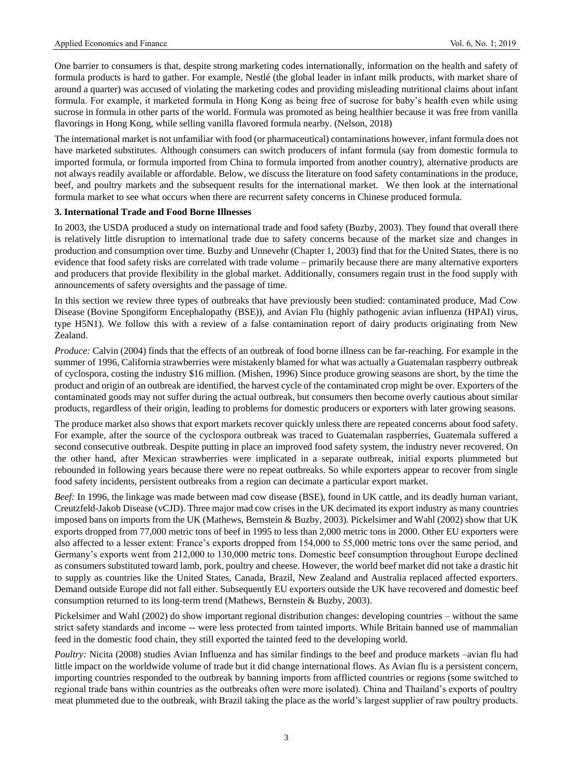One barrier to consumers is that, despite strong marketing codes internationally, information on the health and safety of formula products is hard to gather. For example, Nestlé (the global leader in infant milk products, with market share of around a quarter) was accused of violating the marketing codes and providing misleading nutritional claims about infant formula. For example, it marketed formula in Hong Kong as being free of sucrose for baby's health even while using sucrose in formula in other parts of the world. Formula was promoted as being healthier because it was free from vanilla flavorings in Hong Kong, while selling vanilla flavored formula nearby. (Nelson, 2018)

The international market is not unfamiliar with food (or pharmaceutical) contaminations however, infant formula does not have marketed substitutes. Although consumers can switch producers of infant formula (say from domestic formula to imported formula, or formula imported from China to formula imported from another country), alternative products are not always readily available or affordable. Below, we discuss the literature on food safety contaminations in the produce, beef, and poultry markets and the subsequent results for the international market. We then look at the international formula market to see what occurs when there are recurrent safety concerns in Chinese produced formula.

# **3. International Trade and Food Borne Illnesses**

In 2003, the USDA produced a study on international trade and food safety (Buzby, 2003). They found that overall there is relatively little disruption to international trade due to safety concerns because of the market size and changes in production and consumption over time. Buzby and Unnevehr (Chapter 1, 2003) find that for the United States, there is no evidence that food safety risks are correlated with trade volume – primarily because there are many alternative exporters and producers that provide flexibility in the global market. Additionally, consumers regain trust in the food supply with announcements of safety oversights and the passage of time.

In this section we review three types of outbreaks that have previously been studied: contaminated produce, Mad Cow Disease (Bovine Spongiform Encephalopathy (BSE)), and Avian Flu (highly pathogenic avian influenza (HPAI) virus, type H5N1). We follow this with a review of a false contamination report of dairy products originating from New Zealand.

*Produce:* Calvin (2004) finds that the effects of an outbreak of food borne illness can be far-reaching. For example in the summer of 1996, California strawberries were mistakenly blamed for what was actually a Guatemalan raspberry outbreak of cyclospora, costing the industry \$16 million. (Mishen, 1996) Since produce growing seasons are short, by the time the product and origin of an outbreak are identified, the harvest cycle of the contaminated crop might be over. Exporters of the contaminated goods may not suffer during the actual outbreak, but consumers then become overly cautious about similar products, regardless of their origin, leading to problems for domestic producers or exporters with later growing seasons.

The produce market also shows that export markets recover quickly unless there are repeated concerns about food safety. For example, after the source of the cyclospora outbreak was traced to Guatemalan raspberries, Guatemala suffered a second consecutive outbreak. Despite putting in place an improved food safety system, the industry never recovered. On the other hand, after Mexican strawberries were implicated in a separate outbreak, initial exports plummeted but rebounded in following years because there were no repeat outbreaks. So while exporters appear to recover from single food safety incidents, persistent outbreaks from a region can decimate a particular export market.

*Beef:* In 1996, the linkage was made between mad cow disease (BSE), found in UK cattle, and its deadly human variant, Creutzfeld-Jakob Disease (vCJD). Three major mad cow crises in the UK decimated its export industry as many countries imposed bans on imports from the UK (Mathews, Bernstein & Buzby, 2003). Pickelsimer and Wahl (2002) show that UK exports dropped from 77,000 metric tons of beef in 1995 to less than 2,000 metric tons in 2000. Other EU exporters were also affected to a lesser extent: France's exports dropped from 154,000 to 55,000 metric tons over the same period, and Germany's exports went from 212,000 to 130,000 metric tons. Domestic beef consumption throughout Europe declined as consumers substituted toward lamb, pork, poultry and cheese. However, the world beef market did not take a drastic hit to supply as countries like the United States, Canada, Brazil, New Zealand and Australia replaced affected exporters. Demand outside Europe did not fall either. Subsequently EU exporters outside the UK have recovered and domestic beef consumption returned to its long-term trend (Mathews, Bernstein & Buzby, 2003).

Pickelsimer and Wahl (2002) do show important regional distribution changes: developing countries – without the same strict safety standards and income -- were less protected from tainted imports. While Britain banned use of mammalian feed in the domestic food chain, they still exported the tainted feed to the developing world.

*Poultry:* Nicita (2008) studies Avian Influenza and has similar findings to the beef and produce markets –avian flu had little impact on the worldwide volume of trade but it did change international flows. As Avian flu is a persistent concern, importing countries responded to the outbreak by banning imports from afflicted countries or regions (some switched to regional trade bans within countries as the outbreaks often were more isolated). China and Thailand's exports of poultry meat plummeted due to the outbreak, with Brazil taking the place as the world's largest supplier of raw poultry products.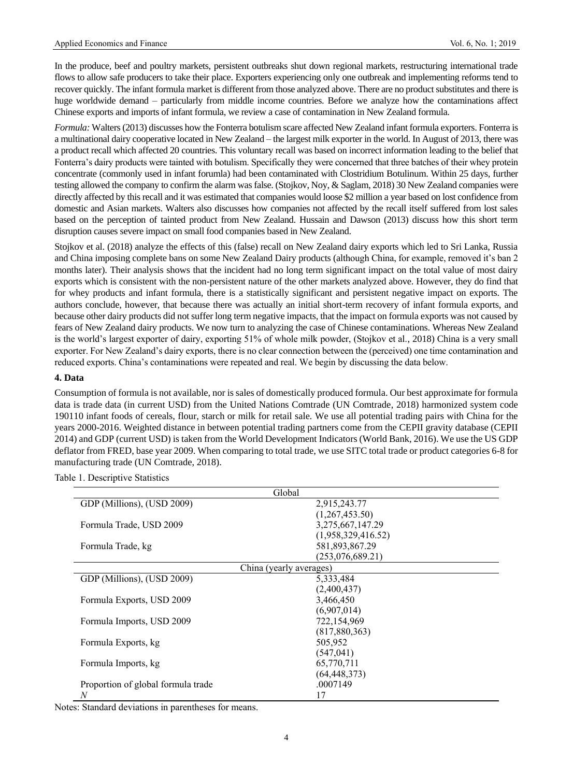In the produce, beef and poultry markets, persistent outbreaks shut down regional markets, restructuring international trade flows to allow safe producers to take their place. Exporters experiencing only one outbreak and implementing reforms tend to recover quickly. The infant formula market is different from those analyzed above. There are no product substitutes and there is huge worldwide demand – particularly from middle income countries. Before we analyze how the contaminations affect Chinese exports and imports of infant formula, we review a case of contamination in New Zealand formula.

*Formula:* Walters (2013) discusses how the Fonterra botulism scare affected New Zealand infant formula exporters. Fonterra is a multinational dairy cooperative located in New Zealand – the largest milk exporter in the world. In August of 2013, there was a product recall which affected 20 countries. This voluntary recall was based on incorrect information leading to the belief that Fonterra's dairy products were tainted with botulism. Specifically they were concerned that three batches of their whey protein concentrate (commonly used in infant forumla) had been contaminated with Clostridium Botulinum. Within 25 days, further testing allowed the company to confirm the alarm was false. (Stojkov, Noy, & Saglam, 2018) 30 New Zealand companies were directly affected by this recall and it was estimated that companies would loose \$2 million a year based on lost confidence from domestic and Asian markets. Walters also discusses how companies not affected by the recall itself suffered from lost sales based on the perception of tainted product from New Zealand. Hussain and Dawson (2013) discuss how this short term disruption causes severe impact on small food companies based in New Zealand.

Stojkov et al. (2018) analyze the effects of this (false) recall on New Zealand dairy exports which led to Sri Lanka, Russia and China imposing complete bans on some New Zealand Dairy products (although China, for example, removed it's ban 2 months later). Their analysis shows that the incident had no long term significant impact on the total value of most dairy exports which is consistent with the non-persistent nature of the other markets analyzed above. However, they do find that for whey products and infant formula, there is a statistically significant and persistent negative impact on exports. The authors conclude, however, that because there was actually an initial short-term recovery of infant formula exports, and because other dairy products did not suffer long term negative impacts, that the impact on formula exports was not caused by fears of New Zealand dairy products. We now turn to analyzing the case of Chinese contaminations. Whereas New Zealand is the world's largest exporter of dairy, exporting 51% of whole milk powder, (Stojkov et al., 2018) China is a very small exporter. For New Zealand's dairy exports, there is no clear connection between the (perceived) one time contamination and reduced exports. China's contaminations were repeated and real. We begin by discussing the data below.

#### **4. Data**

Consumption of formula is not available, nor is sales of domestically produced formula. Our best approximate for formula data is trade data (in current USD) from the United Nations Comtrade (UN Comtrade, 2018) harmonized system code 190110 infant foods of cereals, flour, starch or milk for retail sale*.* We use all potential trading pairs with China for the years 2000-2016. Weighted distance in between potential trading partners come from the CEPII gravity database (CEPII 2014) and GDP (current USD) is taken from the World Development Indicators (World Bank, 2016). We use the US GDP deflator from FRED, base year 2009. When comparing to total trade, we use SITC total trade or product categories 6-8 for manufacturing trade (UN Comtrade, 2018).

| Global                             |                         |  |  |  |
|------------------------------------|-------------------------|--|--|--|
| GDP (Millions), (USD 2009)         | 2,915,243.77            |  |  |  |
|                                    | (1,267,453.50)          |  |  |  |
| Formula Trade, USD 2009            | 3,275,667,147.29        |  |  |  |
|                                    | (1,958,329,416.52)      |  |  |  |
| Formula Trade, kg                  | 581,893,867.29          |  |  |  |
|                                    | (253,076,689.21)        |  |  |  |
|                                    | China (yearly averages) |  |  |  |
| GDP (Millions), (USD 2009)         | 5,333,484               |  |  |  |
|                                    | (2,400,437)             |  |  |  |
| Formula Exports, USD 2009          | 3.466.450               |  |  |  |
|                                    | (6,907,014)             |  |  |  |
| Formula Imports, USD 2009          | 722,154,969             |  |  |  |
|                                    | (817, 880, 363)         |  |  |  |
| Formula Exports, kg                | 505,952                 |  |  |  |
|                                    | (547, 041)              |  |  |  |
| Formula Imports, kg                | 65,770,711              |  |  |  |
|                                    | (64, 448, 373)          |  |  |  |
| Proportion of global formula trade | .0007149                |  |  |  |
| N                                  | 17                      |  |  |  |

Table 1. Descriptive Statistics

Notes: Standard deviations in parentheses for means.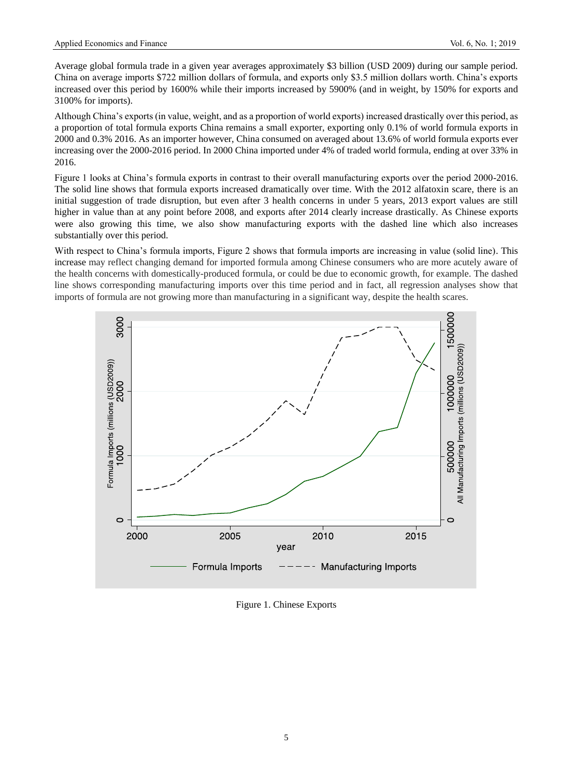Average global formula trade in a given year averages approximately \$3 billion (USD 2009) during our sample period. China on average imports \$722 million dollars of formula, and exports only \$3.5 million dollars worth. China's exports increased over this period by 1600% while their imports increased by 5900% (and in weight, by 150% for exports and 3100% for imports).

Although China's exports (in value, weight, and as a proportion of world exports) increased drastically over this period, as a proportion of total formula exports China remains a small exporter, exporting only 0.1% of world formula exports in 2000 and 0.3% 2016. As an importer however, China consumed on averaged about 13.6% of world formula exports ever increasing over the 2000-2016 period. In 2000 China imported under 4% of traded world formula, ending at over 33% in 2016.

Figure 1 looks at China's formula exports in contrast to their overall manufacturing exports over the period 2000-2016. The solid line shows that formula exports increased dramatically over time. With the 2012 alfatoxin scare, there is an initial suggestion of trade disruption, but even after 3 health concerns in under 5 years, 2013 export values are still higher in value than at any point before 2008, and exports after 2014 clearly increase drastically. As Chinese exports were also growing this time, we also show manufacturing exports with the dashed line which also increases substantially over this period.

With respect to China's formula imports, Figure 2 shows that formula imports are increasing in value (solid line). This increase may reflect changing demand for imported formula among Chinese consumers who are more acutely aware of the health concerns with domestically-produced formula, or could be due to economic growth, for example. The dashed line shows corresponding manufacturing imports over this time period and in fact, all regression analyses show that imports of formula are not growing more than manufacturing in a significant way, despite the health scares.



Figure 1. Chinese Exports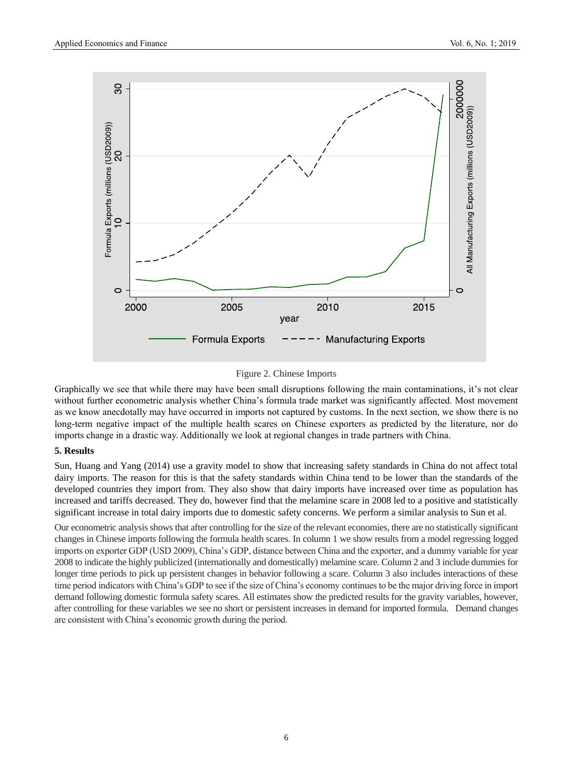

# Figure 2. Chinese Imports

Graphically we see that while there may have been small disruptions following the main contaminations, it's not clear without further econometric analysis whether China's formula trade market was significantly affected. Most movement as we know anecdotally may have occurred in imports not captured by customs. In the next section, we show there is no long-term negative impact of the multiple health scares on Chinese exporters as predicted by the literature, nor do imports change in a drastic way. Additionally we look at regional changes in trade partners with China.

#### **5. Results**

Sun, Huang and Yang (2014) use a gravity model to show that increasing safety standards in China do not affect total dairy imports. The reason for this is that the safety standards within China tend to be lower than the standards of the developed countries they import from. They also show that dairy imports have increased over time as population has increased and tariffs decreased. They do, however find that the melamine scare in 2008 led to a positive and statistically significant increase in total dairy imports due to domestic safety concerns. We perform a similar analysis to Sun et al.

Our econometric analysis shows that after controlling for the size of the relevant economies, there are no statistically significant changes in Chinese imports following the formula health scares. In column 1 we show results from a model regressing logged imports on exporter GDP (USD 2009), China's GDP, distance between China and the exporter, and a dummy variable for year 2008 to indicate the highly publicized (internationally and domestically) melamine scare. Column 2 and 3 include dummies for longer time periods to pick up persistent changes in behavior following a scare. Column 3 also includes interactions of these time period indicators with China's GDP to see if the size of China's economy continues to be the major driving force in import demand following domestic formula safety scares. All estimates show the predicted results for the gravity variables, however, after controlling for these variables we see no short or persistent increases in demand for imported formula. Demand changes are consistent with China's economic growth during the period.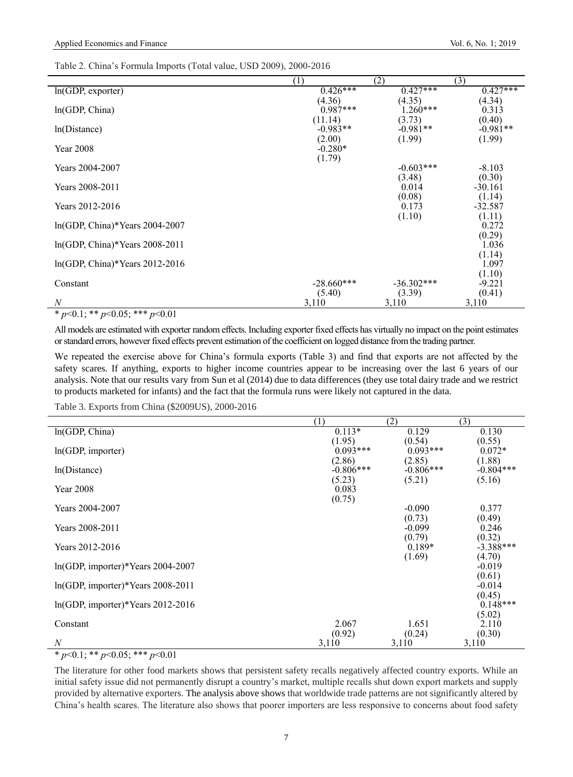|  |  | Table 2. China's Formula Imports (Total value, USD 2009), 2000-2016 |
|--|--|---------------------------------------------------------------------|
|--|--|---------------------------------------------------------------------|

|                                          | (1)                             | (2)                            | (3)                            |
|------------------------------------------|---------------------------------|--------------------------------|--------------------------------|
| $ln(GDP,$ exporter)                      | $0.426***$                      | $0.427***$                     | $0.427***$                     |
| ln(GDP, China)                           | (4.36)<br>$0.987***$            | (4.35)<br>$1.260***$           | (4.34)<br>0.313                |
| ln(Distance)                             | (11.14)<br>$-0.983**$<br>(2.00) | (3.73)<br>$-0.981**$<br>(1.99) | (0.40)<br>$-0.981**$<br>(1.99) |
| Year 2008                                | $-0.280*$<br>(1.79)             |                                |                                |
| Years 2004-2007                          |                                 | $-0.603***$<br>(3.48)          | $-8.103$<br>(0.30)             |
| Years 2008-2011                          |                                 | 0.014                          | $-30.161$                      |
| Years 2012-2016                          |                                 | (0.08)<br>0.173                | (1.14)<br>$-32.587$            |
| ln(GDP, China)*Years 2004-2007           |                                 | (1.10)                         | (1.11)<br>0.272                |
| $ln(GDP, China)*\text{Years } 2008-2011$ |                                 |                                | (0.29)<br>1.036                |
| $ln(GDP, China)*\text{Years } 2012-2016$ |                                 |                                | (1.14)<br>1.097                |
| Constant                                 | $-28.660***$                    | $-36.302***$                   | (1.10)<br>$-9.221$             |
| N                                        | (5.40)<br>3,110                 | (3.39)<br>3,110                | (0.41)<br>3,110                |

\* *p*<0.1; \*\* *p*<0.05; \*\*\* *p*<0.01

All models are estimated with exporter random effects. Including exporter fixed effects has virtually no impact on the point estimates or standard errors, however fixed effects prevent estimation of the coefficient on logged distance from the trading partner.

We repeated the exercise above for China's formula exports (Table 3) and find that exports are not affected by the safety scares. If anything, exports to higher income countries appear to be increasing over the last 6 years of our analysis. Note that our results vary from Sun et al (2014) due to data differences (they use total dairy trade and we restrict to products marketed for infants) and the fact that the formula runs were likely not captured in the data.

Table 3. Exports from China (\$2009US), 2000-2016

|                                             | (1)                             | (2)                             | (3)                             |
|---------------------------------------------|---------------------------------|---------------------------------|---------------------------------|
| In(GDP, China)                              | $0.113*$                        | 0.129                           | 0.130                           |
| ln(GDP, importer)                           | (1.95)<br>$0.093***$            | (0.54)<br>$0.093***$            | (0.55)<br>$0.072*$              |
| ln(Distance)                                | (2.86)<br>$-0.806***$<br>(5.23) | (2.85)<br>$-0.806***$<br>(5.21) | (1.88)<br>$-0.804***$<br>(5.16) |
| Year 2008                                   | 0.083<br>(0.75)                 |                                 |                                 |
| Years 2004-2007                             |                                 | $-0.090$                        | 0.377                           |
| Years 2008-2011                             |                                 | (0.73)<br>$-0.099$              | (0.49)<br>0.246                 |
| Years 2012-2016                             |                                 | (0.79)<br>$0.189*$              | (0.32)<br>$-3.388***$           |
| $ln(GDP, importer)*\text{Years } 2004-2007$ |                                 | (1.69)                          | (4.70)<br>$-0.019$<br>(0.61)    |
| $ln(GDP, importer)*\text{Years } 2008-2011$ |                                 |                                 | $-0.014$                        |
| $ln(GDP, importer)*\text{Years } 2012-2016$ |                                 |                                 | (0.45)<br>$0.148***$            |
| Constant                                    | 2.067                           | 1.651                           | (5.02)<br>2.110                 |
| N                                           | (0.92)<br>3,110                 | (0.24)<br>3,110                 | (0.30)<br>3,110                 |

 $*$  *p*<0.1; \*\* *p*<0.05; \*\*\* *p*<0.01

The literature for other food markets shows that persistent safety recalls negatively affected country exports. While an initial safety issue did not permanently disrupt a country's market, multiple recalls shut down export markets and supply provided by alternative exporters. The analysis above shows that worldwide trade patterns are not significantly altered by China's health scares. The literature also shows that poorer importers are less responsive to concerns about food safety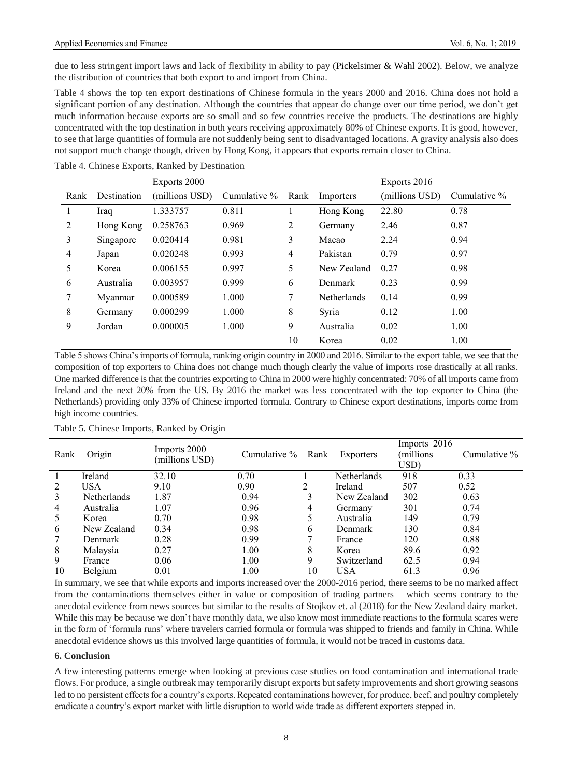due to less stringent import laws and lack of flexibility in ability to pay (Pickelsimer & Wahl 2002). Below, we analyze the distribution of countries that both export to and import from China.

Table 4 shows the top ten export destinations of Chinese formula in the years 2000 and 2016. China does not hold a significant portion of any destination. Although the countries that appear do change over our time period, we don't get much information because exports are so small and so few countries receive the products. The destinations are highly concentrated with the top destination in both years receiving approximately 80% of Chinese exports. It is good, however, to see that large quantities of formula are not suddenly being sent to disadvantaged locations. A gravity analysis also does not support much change though, driven by Hong Kong, it appears that exports remain closer to China.

|      |             | Exports 2000   |              |      |                    | Exports 2016   |                 |
|------|-------------|----------------|--------------|------|--------------------|----------------|-----------------|
| Rank | Destination | (millions USD) | Cumulative % | Rank | Importers          | (millions USD) | Cumulative $\%$ |
|      | Iraq        | 1.333757       | 0.811        |      | Hong Kong          | 22.80          | 0.78            |
| 2    | Hong Kong   | 0.258763       | 0.969        | 2    | Germany            | 2.46           | 0.87            |
| 3    | Singapore   | 0.020414       | 0.981        | 3    | Macao              | 2.24           | 0.94            |
| 4    | Japan       | 0.020248       | 0.993        | 4    | Pakistan           | 0.79           | 0.97            |
| 5    | Korea       | 0.006155       | 0.997        | 5    | New Zealand        | 0.27           | 0.98            |
| 6    | Australia   | 0.003957       | 0.999        | 6    | Denmark            | 0.23           | 0.99            |
| 7    | Myanmar     | 0.000589       | 1.000        | 7    | <b>Netherlands</b> | 0.14           | 0.99            |
| 8    | Germany     | 0.000299       | 1.000        | 8    | Syria              | 0.12           | 1.00            |
| 9    | Jordan      | 0.000005       | 1.000        | 9    | Australia          | 0.02           | 1.00            |
|      |             |                |              | 10   | Korea              | 0.02           | 1.00            |

Table 4. Chinese Exports, Ranked by Destination

Table 5 shows China's imports of formula, ranking origin country in 2000 and 2016. Similar to the export table, we see that the composition of top exporters to China does not change much though clearly the value of imports rose drastically at all ranks. One marked difference is that the countries exporting to China in 2000 were highly concentrated: 70% of all imports came from Ireland and the next 20% from the US. By 2016 the market was less concentrated with the top exporter to China (the Netherlands) providing only 33% of Chinese imported formula. Contrary to Chinese export destinations, imports come from high income countries.

Table 5. Chinese Imports, Ranked by Origin

| Rank | Origin             | Imports 2000<br>(millions USD) | Cumulative $\%$ | Rank | Exporters      | Imports 2016<br>millions)<br>USD) | Cumulative % |
|------|--------------------|--------------------------------|-----------------|------|----------------|-----------------------------------|--------------|
|      | Ireland            | 32.10                          | 0.70            |      | Netherlands    | 918                               | 0.33         |
| 2    | <b>USA</b>         | 9.10                           | 0.90            | 2    | <b>Ireland</b> | 507                               | 0.52         |
| 3    | <b>Netherlands</b> | 1.87                           | 0.94            | 3    | New Zealand    | 302                               | 0.63         |
| 4    | Australia          | 1.07                           | 0.96            | 4    | Germany        | 301                               | 0.74         |
| 5    | Korea              | 0.70                           | 0.98            |      | Australia      | 149                               | 0.79         |
| 6    | New Zealand        | 0.34                           | 0.98            | 6    | Denmark        | 130                               | 0.84         |
| 7    | <b>Denmark</b>     | 0.28                           | 0.99            |      | France         | 120                               | 0.88         |
| 8    | Malaysia           | 0.27                           | 1.00            | 8    | Korea          | 89.6                              | 0.92         |
| 9    | France             | 0.06                           | 1.00            | 9    | Switzerland    | 62.5                              | 0.94         |
| 10   | Belgium            | 0.01                           | 1.00            | 10   | <b>USA</b>     | 61.3                              | 0.96         |

In summary, we see that while exports and imports increased over the 2000-2016 period, there seems to be no marked affect from the contaminations themselves either in value or composition of trading partners – which seems contrary to the anecdotal evidence from news sources but similar to the results of Stojkov et. al (2018) for the New Zealand dairy market. While this may be because we don't have monthly data, we also know most immediate reactions to the formula scares were in the form of 'formula runs' where travelers carried formula or formula was shipped to friends and family in China. While anecdotal evidence shows us this involved large quantities of formula, it would not be traced in customs data.

#### **6. Conclusion**

A few interesting patterns emerge when looking at previous case studies on food contamination and international trade flows. For produce, a single outbreak may temporarily disrupt exports but safety improvements and short growing seasons led to no persistent effects for a country's exports. Repeated contaminations however, for produce, beef, and poultry completely eradicate a country's export market with little disruption to world wide trade as different exporters stepped in.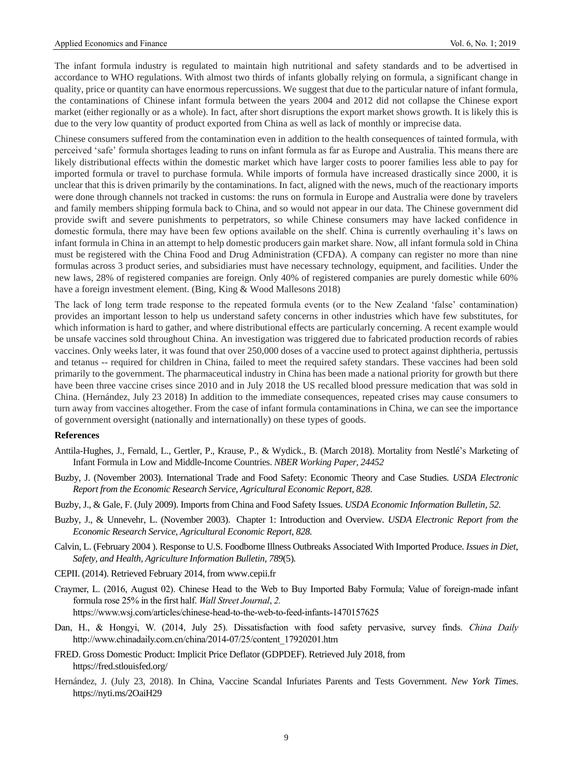The infant formula industry is regulated to maintain high nutritional and safety standards and to be advertised in accordance to WHO regulations. With almost two thirds of infants globally relying on formula, a significant change in quality, price or quantity can have enormous repercussions. We suggest that due to the particular nature of infant formula, the contaminations of Chinese infant formula between the years 2004 and 2012 did not collapse the Chinese export market (either regionally or as a whole). In fact, after short disruptions the export market shows growth. It is likely this is due to the very low quantity of product exported from China as well as lack of monthly or imprecise data.

Chinese consumers suffered from the contamination even in addition to the health consequences of tainted formula, with perceived 'safe' formula shortages leading to runs on infant formula as far as Europe and Australia. This means there are likely distributional effects within the domestic market which have larger costs to poorer families less able to pay for imported formula or travel to purchase formula. While imports of formula have increased drastically since 2000, it is unclear that this is driven primarily by the contaminations. In fact, aligned with the news, much of the reactionary imports were done through channels not tracked in customs: the runs on formula in Europe and Australia were done by travelers and family members shipping formula back to China, and so would not appear in our data. The Chinese government did provide swift and severe punishments to perpetrators, so while Chinese consumers may have lacked confidence in domestic formula, there may have been few options available on the shelf. China is currently overhauling it's laws on infant formula in China in an attempt to help domestic producers gain market share. Now, all infant formula sold in China must be registered with the China Food and Drug Administration (CFDA). A company can register no more than nine formulas across 3 product series, and subsidiaries must have necessary technology, equipment, and facilities. Under the new laws, 28% of registered companies are foreign. Only 40% of registered companies are purely domestic while 60% have a foreign investment element. (Bing, King & Wood Mallesons 2018)

The lack of long term trade response to the repeated formula events (or to the New Zealand 'false' contamination) provides an important lesson to help us understand safety concerns in other industries which have few substitutes, for which information is hard to gather, and where distributional effects are particularly concerning. A recent example would be unsafe vaccines sold throughout China. An investigation was triggered due to fabricated production records of rabies vaccines. Only weeks later, it was found that over 250,000 doses of a vaccine used to protect against diphtheria, pertussis and tetanus -- required for children in China, failed to meet the required safety standars. These vaccines had been sold primarily to the government. The pharmaceutical industry in China has been made a national priority for growth but there have been three vaccine crises since 2010 and in July 2018 the US recalled blood pressure medication that was sold in China. (Hernández, July 23 2018) In addition to the immediate consequences, repeated crises may cause consumers to turn away from vaccines altogether. From the case of infant formula contaminations in China, we can see the importance of government oversight (nationally and internationally) on these types of goods.

#### **References**

- Anttila-Hughes, J., Fernald, L., Gertler, P., Krause, P., & Wydick., B. (March 2018). Mortality from Nestlé's Marketing of Infant Formula in Low and Middle-Income Countries. *NBER Working Paper, 24452*
- Buzby, J. (November 2003). International Trade and Food Safety: Economic Theory and Case Studies. *USDA Electronic Report from the Economic Research Service, Agricultural Economic Report, 828*.
- Buzby, J., & Gale, F. (July 2009). Imports from China and Food Safety Issues. *USDA Economic Information Bulletin, 52.*
- Buzby, J., & Unnevehr, L. (November 2003). Chapter 1: Introduction and Overview. *USDA Electronic Report from the Economic Research Service, Agricultural Economic Report, 828.*
- Calvin, L. (February 2004 ). Response to U.S. Foodborne Illness Outbreaks Associated With Imported Produce. *Issues in Diet, Safety, and Health, Agriculture Information Bulletin, 789*(5)*.*
- CEPII. (2014). Retrieved February 2014, from www.cepii.fr
- Craymer, L. (2016, August 02). Chinese Head to the Web to Buy Imported Baby Formula; Value of foreign-made infant formula rose 25% in the first half. *Wall Street Journal*, *2.* https://www.wsj.com/articles/chinese-head-to-the-web-to-feed-infants-1470157625
- Dan, H., & Hongyi, W. (2014, July 25). Dissatisfaction with food safety pervasive, survey finds. *China Daily*  http://www.chinadaily.com.cn/china/2014-07/25/content\_17920201.htm
- FRED. Gross Domestic Product: Implicit Price Deflator (GDPDEF). Retrieved July 2018, from <https://fred.stlouisfed.org/>
- Hernández, J. (July 23, 2018). In China, Vaccine Scandal Infuriates Parents and Tests Government. *New York Times*. <https://nyti.ms/2OaiH29>